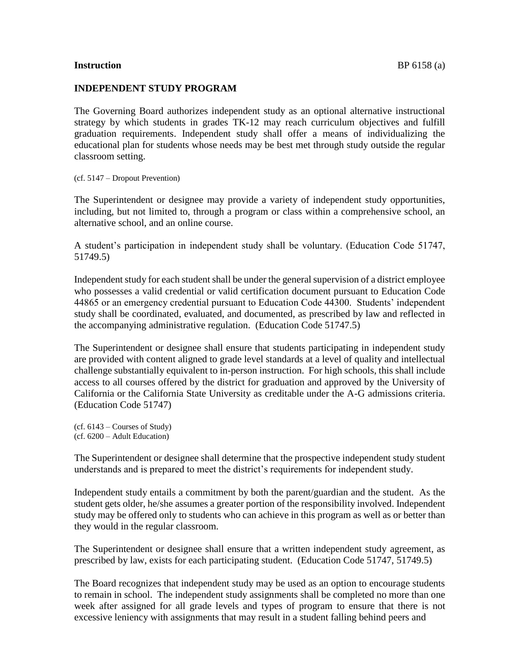#### **Instruction** BP 6158 (a)

## **INDEPENDENT STUDY PROGRAM**

The Governing Board authorizes independent study as an optional alternative instructional strategy by which students in grades TK-12 may reach curriculum objectives and fulfill graduation requirements. Independent study shall offer a means of individualizing the educational plan for students whose needs may be best met through study outside the regular classroom setting.

(cf. 5147 – Dropout Prevention)

The Superintendent or designee may provide a variety of independent study opportunities, including, but not limited to, through a program or class within a comprehensive school, an alternative school, and an online course.

A student's participation in independent study shall be voluntary. (Education Code 51747, 51749.5)

Independent study for each student shall be under the general supervision of a district employee who possesses a valid credential or valid certification document pursuant to Education Code 44865 or an emergency credential pursuant to Education Code 44300. Students' independent study shall be coordinated, evaluated, and documented, as prescribed by law and reflected in the accompanying administrative regulation. (Education Code 51747.5)

The Superintendent or designee shall ensure that students participating in independent study are provided with content aligned to grade level standards at a level of quality and intellectual challenge substantially equivalent to in-person instruction. For high schools, this shall include access to all courses offered by the district for graduation and approved by the University of California or the California State University as creditable under the A-G admissions criteria. (Education Code 51747)

(cf. 6143 – Courses of Study) (cf. 6200 – Adult Education)

The Superintendent or designee shall determine that the prospective independent study student understands and is prepared to meet the district's requirements for independent study.

Independent study entails a commitment by both the parent/guardian and the student. As the student gets older, he/she assumes a greater portion of the responsibility involved. Independent study may be offered only to students who can achieve in this program as well as or better than they would in the regular classroom.

The Superintendent or designee shall ensure that a written independent study agreement, as prescribed by law, exists for each participating student. (Education Code 51747, 51749.5)

The Board recognizes that independent study may be used as an option to encourage students to remain in school. The independent study assignments shall be completed no more than one week after assigned for all grade levels and types of program to ensure that there is not excessive leniency with assignments that may result in a student falling behind peers and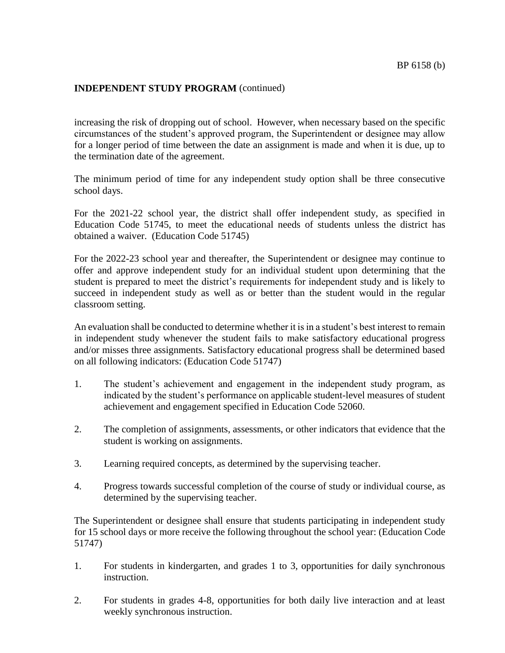increasing the risk of dropping out of school. However, when necessary based on the specific circumstances of the student's approved program, the Superintendent or designee may allow for a longer period of time between the date an assignment is made and when it is due, up to the termination date of the agreement.

The minimum period of time for any independent study option shall be three consecutive school days.

For the 2021-22 school year, the district shall offer independent study, as specified in Education Code 51745, to meet the educational needs of students unless the district has obtained a waiver. (Education Code 51745)

For the 2022-23 school year and thereafter, the Superintendent or designee may continue to offer and approve independent study for an individual student upon determining that the student is prepared to meet the district's requirements for independent study and is likely to succeed in independent study as well as or better than the student would in the regular classroom setting.

An evaluation shall be conducted to determine whether it is in a student's best interest to remain in independent study whenever the student fails to make satisfactory educational progress and/or misses three assignments. Satisfactory educational progress shall be determined based on all following indicators: (Education Code 51747)

- 1. The student's achievement and engagement in the independent study program, as indicated by the student's performance on applicable student-level measures of student achievement and engagement specified in Education Code 52060.
- 2. The completion of assignments, assessments, or other indicators that evidence that the student is working on assignments.
- 3. Learning required concepts, as determined by the supervising teacher.
- 4. Progress towards successful completion of the course of study or individual course, as determined by the supervising teacher.

The Superintendent or designee shall ensure that students participating in independent study for 15 school days or more receive the following throughout the school year: (Education Code 51747)

- 1. For students in kindergarten, and grades 1 to 3, opportunities for daily synchronous instruction.
- 2. For students in grades 4-8, opportunities for both daily live interaction and at least weekly synchronous instruction.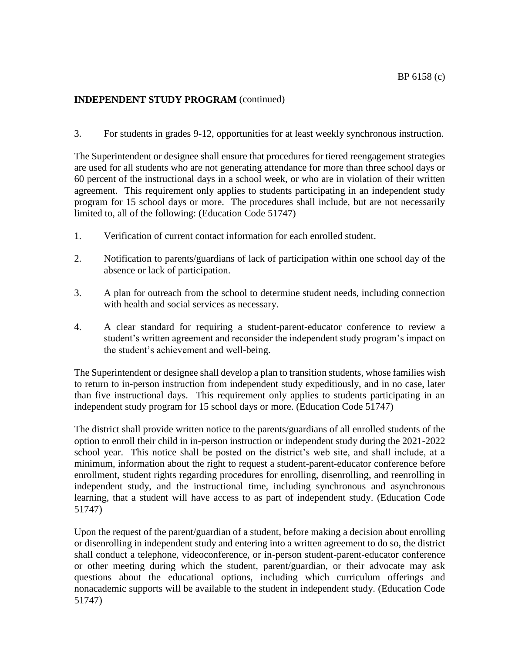3. For students in grades 9-12, opportunities for at least weekly synchronous instruction.

The Superintendent or designee shall ensure that procedures for tiered reengagement strategies are used for all students who are not generating attendance for more than three school days or 60 percent of the instructional days in a school week, or who are in violation of their written agreement. This requirement only applies to students participating in an independent study program for 15 school days or more. The procedures shall include, but are not necessarily limited to, all of the following: (Education Code 51747)

- 1. Verification of current contact information for each enrolled student.
- 2. Notification to parents/guardians of lack of participation within one school day of the absence or lack of participation.
- 3. A plan for outreach from the school to determine student needs, including connection with health and social services as necessary.
- 4. A clear standard for requiring a student-parent-educator conference to review a student's written agreement and reconsider the independent study program's impact on the student's achievement and well-being.

The Superintendent or designee shall develop a plan to transition students, whose families wish to return to in-person instruction from independent study expeditiously, and in no case, later than five instructional days. This requirement only applies to students participating in an independent study program for 15 school days or more. (Education Code 51747)

The district shall provide written notice to the parents/guardians of all enrolled students of the option to enroll their child in in-person instruction or independent study during the 2021-2022 school year. This notice shall be posted on the district's web site, and shall include, at a minimum, information about the right to request a student-parent-educator conference before enrollment, student rights regarding procedures for enrolling, disenrolling, and reenrolling in independent study, and the instructional time, including synchronous and asynchronous learning, that a student will have access to as part of independent study. (Education Code 51747)

Upon the request of the parent/guardian of a student, before making a decision about enrolling or disenrolling in independent study and entering into a written agreement to do so, the district shall conduct a telephone, videoconference, or in-person student-parent-educator conference or other meeting during which the student, parent/guardian, or their advocate may ask questions about the educational options, including which curriculum offerings and nonacademic supports will be available to the student in independent study. (Education Code 51747)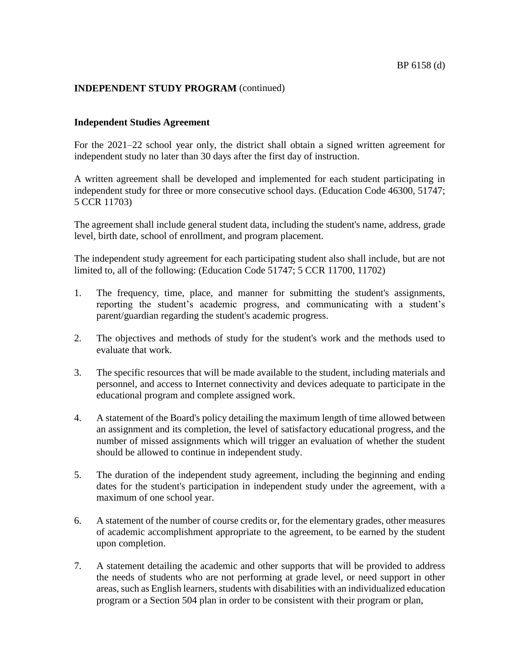#### **Independent Studies Agreement**

For the 2021–22 school year only, the district shall obtain a signed written agreement for independent study no later than 30 days after the first day of instruction.

A written agreement shall be developed and implemented for each student participating in independent study for three or more consecutive school days. (Education Code 46300, 51747; 5 CCR 11703)

The agreement shall include general student data, including the student's name, address, grade level, birth date, school of enrollment, and program placement.

The independent study agreement for each participating student also shall include, but are not limited to, all of the following: (Education Code 51747; 5 CCR 11700, 11702)

- 1. The frequency, time, place, and manner for submitting the student's assignments, reporting the student's academic progress, and communicating with a student's parent/guardian regarding the student's academic progress.
- 2. The objectives and methods of study for the student's work and the methods used to evaluate that work.
- 3. The specific resources that will be made available to the student, including materials and personnel, and access to Internet connectivity and devices adequate to participate in the educational program and complete assigned work.
- 4. A statement of the Board's policy detailing the maximum length of time allowed between an assignment and its completion, the level of satisfactory educational progress, and the number of missed assignments which will trigger an evaluation of whether the student should be allowed to continue in independent study.
- 5. The duration of the independent study agreement, including the beginning and ending dates for the student's participation in independent study under the agreement, with a maximum of one school year.
- 6. A statement of the number of course credits or, for the elementary grades, other measures of academic accomplishment appropriate to the agreement, to be earned by the student upon completion.
- 7. A statement detailing the academic and other supports that will be provided to address the needs of students who are not performing at grade level, or need support in other areas, such as English learners, students with disabilities with an individualized education program or a Section 504 plan in order to be consistent with their program or plan,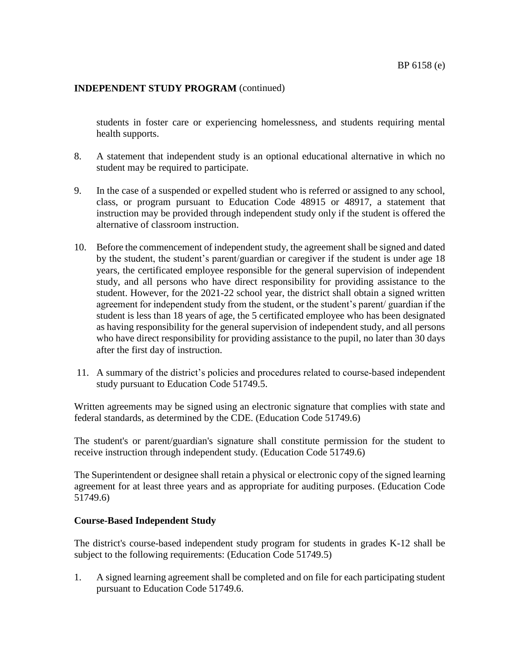students in foster care or experiencing homelessness, and students requiring mental health supports.

- 8. A statement that independent study is an optional educational alternative in which no student may be required to participate.
- 9. In the case of a suspended or expelled student who is referred or assigned to any school, class, or program pursuant to Education Code 48915 or 48917, a statement that instruction may be provided through independent study only if the student is offered the alternative of classroom instruction.
- 10. Before the commencement of independent study, the agreement shall be signed and dated by the student, the student's parent/guardian or caregiver if the student is under age 18 years, the certificated employee responsible for the general supervision of independent study, and all persons who have direct responsibility for providing assistance to the student. However, for the 2021-22 school year, the district shall obtain a signed written agreement for independent study from the student, or the student's parent/ guardian if the student is less than 18 years of age, the 5 certificated employee who has been designated as having responsibility for the general supervision of independent study, and all persons who have direct responsibility for providing assistance to the pupil, no later than 30 days after the first day of instruction.
- 11. A summary of the district's policies and procedures related to course-based independent study pursuant to Education Code 51749.5.

Written agreements may be signed using an electronic signature that complies with state and federal standards, as determined by the CDE. (Education Code 51749.6)

The student's or parent/guardian's signature shall constitute permission for the student to receive instruction through independent study. (Education Code 51749.6)

The Superintendent or designee shall retain a physical or electronic copy of the signed learning agreement for at least three years and as appropriate for auditing purposes. (Education Code 51749.6)

#### **Course-Based Independent Study**

The district's course-based independent study program for students in grades K-12 shall be subject to the following requirements: (Education Code 51749.5)

1. A signed learning agreement shall be completed and on file for each participating student pursuant to Education Code 51749.6.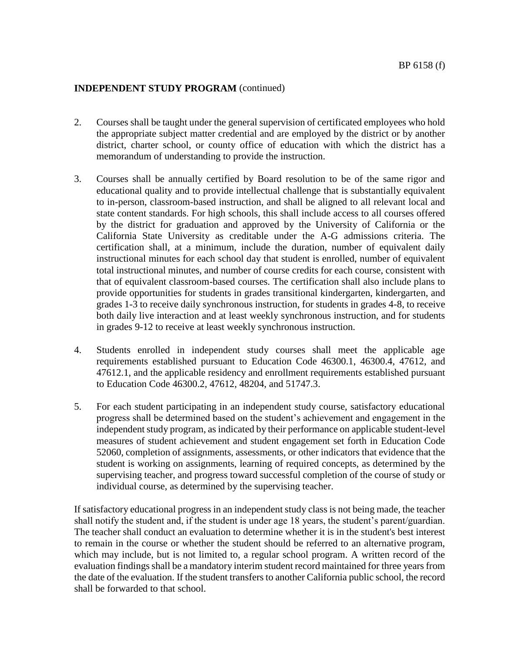- 2. Courses shall be taught under the general supervision of certificated employees who hold the appropriate subject matter credential and are employed by the district or by another district, charter school, or county office of education with which the district has a memorandum of understanding to provide the instruction.
- 3. Courses shall be annually certified by Board resolution to be of the same rigor and educational quality and to provide intellectual challenge that is substantially equivalent to in-person, classroom-based instruction, and shall be aligned to all relevant local and state content standards. For high schools, this shall include access to all courses offered by the district for graduation and approved by the University of California or the California State University as creditable under the A-G admissions criteria. The certification shall, at a minimum, include the duration, number of equivalent daily instructional minutes for each school day that student is enrolled, number of equivalent total instructional minutes, and number of course credits for each course, consistent with that of equivalent classroom-based courses. The certification shall also include plans to provide opportunities for students in grades transitional kindergarten, kindergarten, and grades 1-3 to receive daily synchronous instruction, for students in grades 4-8, to receive both daily live interaction and at least weekly synchronous instruction, and for students in grades 9-12 to receive at least weekly synchronous instruction.
- 4. Students enrolled in independent study courses shall meet the applicable age requirements established pursuant to Education Code 46300.1, 46300.4, 47612, and 47612.1, and the applicable residency and enrollment requirements established pursuant to Education Code 46300.2, 47612, 48204, and 51747.3.
- 5. For each student participating in an independent study course, satisfactory educational progress shall be determined based on the student's achievement and engagement in the independent study program, as indicated by their performance on applicable student-level measures of student achievement and student engagement set forth in Education Code 52060, completion of assignments, assessments, or other indicators that evidence that the student is working on assignments, learning of required concepts, as determined by the supervising teacher, and progress toward successful completion of the course of study or individual course, as determined by the supervising teacher.

If satisfactory educational progress in an independent study class is not being made, the teacher shall notify the student and, if the student is under age 18 years, the student's parent/guardian. The teacher shall conduct an evaluation to determine whether it is in the student's best interest to remain in the course or whether the student should be referred to an alternative program, which may include, but is not limited to, a regular school program. A written record of the evaluation findings shall be a mandatory interim student record maintained for three years from the date of the evaluation. If the student transfers to another California public school, the record shall be forwarded to that school.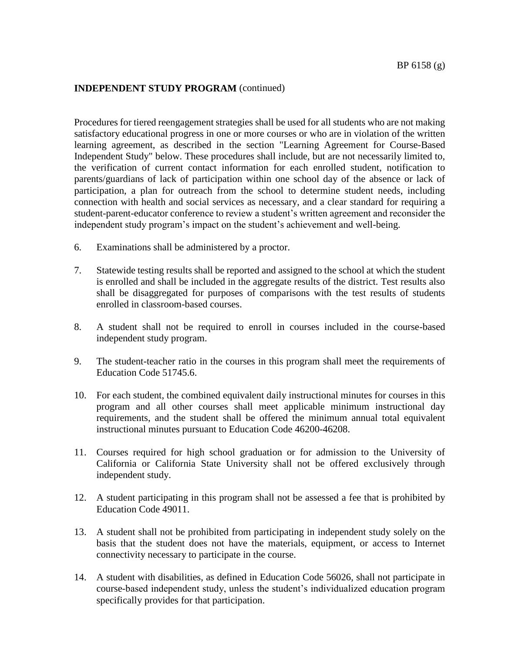Procedures for tiered reengagement strategies shall be used for all students who are not making satisfactory educational progress in one or more courses or who are in violation of the written learning agreement, as described in the section "Learning Agreement for Course-Based Independent Study" below. These procedures shall include, but are not necessarily limited to, the verification of current contact information for each enrolled student, notification to parents/guardians of lack of participation within one school day of the absence or lack of participation, a plan for outreach from the school to determine student needs, including connection with health and social services as necessary, and a clear standard for requiring a student-parent-educator conference to review a student's written agreement and reconsider the independent study program's impact on the student's achievement and well-being.

- 6. Examinations shall be administered by a proctor.
- 7. Statewide testing results shall be reported and assigned to the school at which the student is enrolled and shall be included in the aggregate results of the district. Test results also shall be disaggregated for purposes of comparisons with the test results of students enrolled in classroom-based courses.
- 8. A student shall not be required to enroll in courses included in the course-based independent study program.
- 9. The student-teacher ratio in the courses in this program shall meet the requirements of Education Code 51745.6.
- 10. For each student, the combined equivalent daily instructional minutes for courses in this program and all other courses shall meet applicable minimum instructional day requirements, and the student shall be offered the minimum annual total equivalent instructional minutes pursuant to Education Code 46200-46208.
- 11. Courses required for high school graduation or for admission to the University of California or California State University shall not be offered exclusively through independent study.
- 12. A student participating in this program shall not be assessed a fee that is prohibited by Education Code 49011.
- 13. A student shall not be prohibited from participating in independent study solely on the basis that the student does not have the materials, equipment, or access to Internet connectivity necessary to participate in the course.
- 14. A student with disabilities, as defined in Education Code 56026, shall not participate in course-based independent study, unless the student's individualized education program specifically provides for that participation.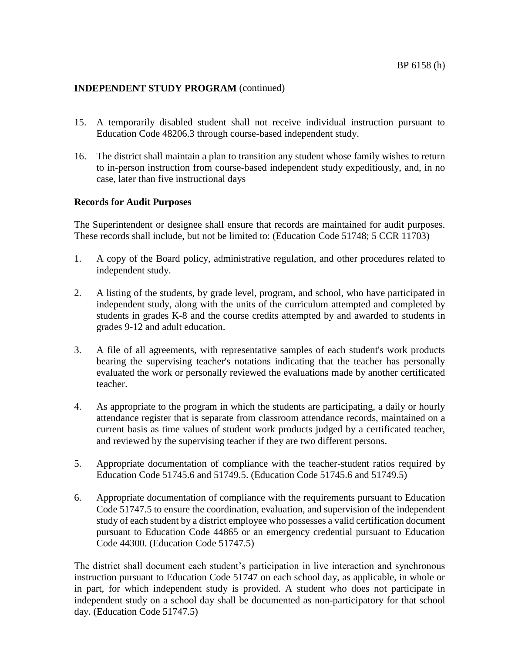- 15. A temporarily disabled student shall not receive individual instruction pursuant to Education Code 48206.3 through course-based independent study.
- 16. The district shall maintain a plan to transition any student whose family wishes to return to in-person instruction from course-based independent study expeditiously, and, in no case, later than five instructional days

#### **Records for Audit Purposes**

The Superintendent or designee shall ensure that records are maintained for audit purposes. These records shall include, but not be limited to: (Education Code 51748; 5 CCR 11703)

- 1. A copy of the Board policy, administrative regulation, and other procedures related to independent study.
- 2. A listing of the students, by grade level, program, and school, who have participated in independent study, along with the units of the curriculum attempted and completed by students in grades K-8 and the course credits attempted by and awarded to students in grades 9-12 and adult education.
- 3. A file of all agreements, with representative samples of each student's work products bearing the supervising teacher's notations indicating that the teacher has personally evaluated the work or personally reviewed the evaluations made by another certificated teacher.
- 4. As appropriate to the program in which the students are participating, a daily or hourly attendance register that is separate from classroom attendance records, maintained on a current basis as time values of student work products judged by a certificated teacher, and reviewed by the supervising teacher if they are two different persons.
- 5. Appropriate documentation of compliance with the teacher-student ratios required by Education Code 51745.6 and 51749.5. (Education Code 51745.6 and 51749.5)
- 6. Appropriate documentation of compliance with the requirements pursuant to Education Code 51747.5 to ensure the coordination, evaluation, and supervision of the independent study of each student by a district employee who possesses a valid certification document pursuant to Education Code 44865 or an emergency credential pursuant to Education Code 44300. (Education Code 51747.5)

The district shall document each student's participation in live interaction and synchronous instruction pursuant to Education Code 51747 on each school day, as applicable, in whole or in part, for which independent study is provided. A student who does not participate in independent study on a school day shall be documented as non-participatory for that school day. (Education Code 51747.5)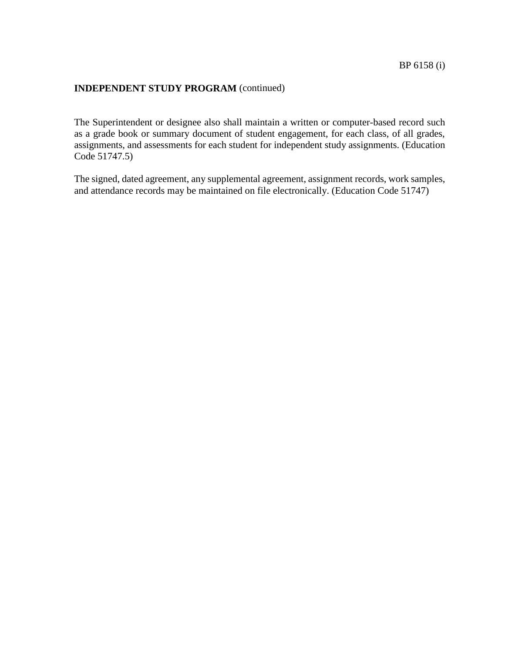The Superintendent or designee also shall maintain a written or computer-based record such as a grade book or summary document of student engagement, for each class, of all grades, assignments, and assessments for each student for independent study assignments. (Education Code 51747.5)

The signed, dated agreement, any supplemental agreement, assignment records, work samples, and attendance records may be maintained on file electronically. (Education Code 51747)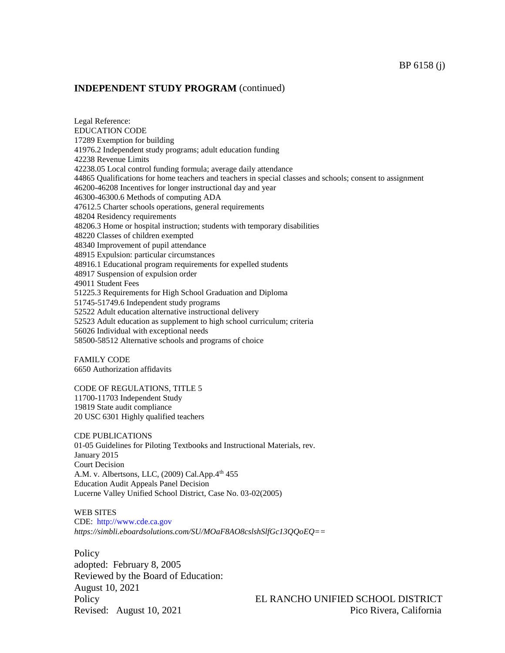Legal Reference: EDUCATION CODE 17289 Exemption for building 41976.2 Independent study programs; adult education funding 42238 Revenue Limits 42238.05 Local control funding formula; average daily attendance 44865 Qualifications for home teachers and teachers in special classes and schools; consent to assignment 46200-46208 Incentives for longer instructional day and year 46300-46300.6 Methods of computing ADA 47612.5 Charter schools operations, general requirements 48204 Residency requirements 48206.3 Home or hospital instruction; students with temporary disabilities 48220 Classes of children exempted 48340 Improvement of pupil attendance 48915 Expulsion: particular circumstances 48916.1 Educational program requirements for expelled students 48917 Suspension of expulsion order 49011 Student Fees 51225.3 Requirements for High School Graduation and Diploma 51745-51749.6 Independent study programs 52522 Adult education alternative instructional delivery 52523 Adult education as supplement to high school curriculum; criteria 56026 Individual with exceptional needs 58500-58512 Alternative schools and programs of choice

FAMILY CODE 6650 Authorization affidavits

CODE OF REGULATIONS, TITLE 5

11700-11703 Independent Study 19819 State audit compliance 20 USC 6301 Highly qualified teachers

CDE PUBLICATIONS 01-05 Guidelines for Piloting Textbooks and Instructional Materials, rev. January 2015 Court Decision A.M. v. Albertsons, LLC,  $(2009)$  Cal.App. $4<sup>th</sup> 455$ Education Audit Appeals Panel Decision Lucerne Valley Unified School District, Case No. 03-02(2005)

WEB SITES CDE: [http://www.cde.ca.gov](http://www.cde.ca.gov/) *https://simbli.eboardsolutions.com/SU/MOaF8AO8cslshSlfGc13QQoEQ==*

**Policy** adopted: February 8, 2005 Reviewed by the Board of Education: August 10, 2021

Policy EL RANCHO UNIFIED SCHOOL DISTRICT Revised: August 10, 2021 **Pico Rivera, California**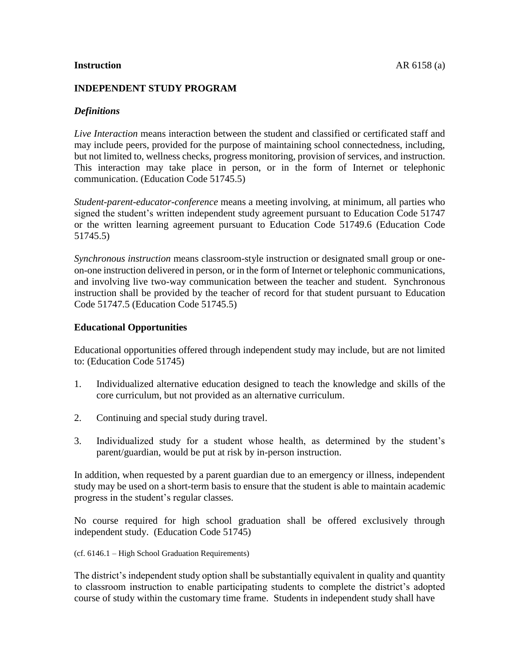# **INDEPENDENT STUDY PROGRAM**

## *Definitions*

*Live Interaction* means interaction between the student and classified or certificated staff and may include peers, provided for the purpose of maintaining school connectedness, including, but not limited to, wellness checks, progress monitoring, provision of services, and instruction. This interaction may take place in person, or in the form of Internet or telephonic communication. (Education Code 51745.5)

*Student-parent-educator-conference* means a meeting involving, at minimum, all parties who signed the student's written independent study agreement pursuant to Education Code 51747 or the written learning agreement pursuant to Education Code 51749.6 (Education Code 51745.5)

*Synchronous instruction* means classroom-style instruction or designated small group or oneon-one instruction delivered in person, or in the form of Internet or telephonic communications, and involving live two-way communication between the teacher and student. Synchronous instruction shall be provided by the teacher of record for that student pursuant to Education Code 51747.5 (Education Code 51745.5)

## **Educational Opportunities**

Educational opportunities offered through independent study may include, but are not limited to: (Education Code 51745)

- 1. Individualized alternative education designed to teach the knowledge and skills of the core curriculum, but not provided as an alternative curriculum.
- 2. Continuing and special study during travel.
- 3. Individualized study for a student whose health, as determined by the student's parent/guardian, would be put at risk by in-person instruction.

In addition, when requested by a parent guardian due to an emergency or illness, independent study may be used on a short-term basis to ensure that the student is able to maintain academic progress in the student's regular classes.

No course required for high school graduation shall be offered exclusively through independent study. (Education Code 51745)

(cf. 6146.1 – High School Graduation Requirements)

The district's independent study option shall be substantially equivalent in quality and quantity to classroom instruction to enable participating students to complete the district's adopted course of study within the customary time frame. Students in independent study shall have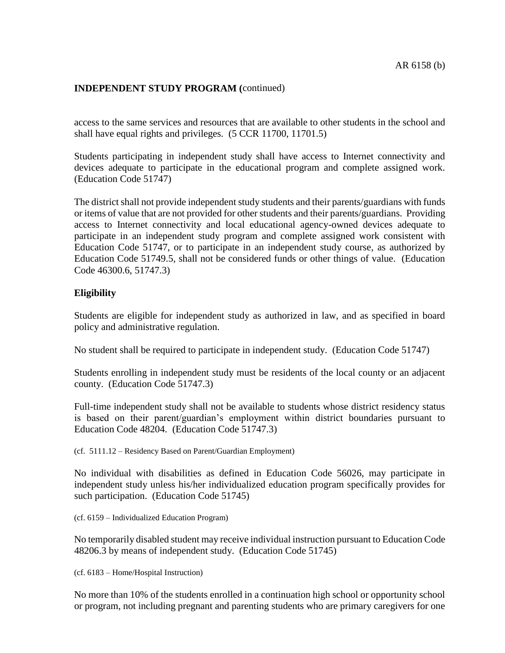access to the same services and resources that are available to other students in the school and shall have equal rights and privileges. (5 CCR 11700, 11701.5)

Students participating in independent study shall have access to Internet connectivity and devices adequate to participate in the educational program and complete assigned work. (Education Code 51747)

The district shall not provide independent study students and their parents/guardians with funds or items of value that are not provided for other students and their parents/guardians. Providing access to Internet connectivity and local educational agency-owned devices adequate to participate in an independent study program and complete assigned work consistent with Education Code 51747, or to participate in an independent study course, as authorized by Education Code 51749.5, shall not be considered funds or other things of value. (Education Code 46300.6, 51747.3)

## **Eligibility**

Students are eligible for independent study as authorized in law, and as specified in board policy and administrative regulation.

No student shall be required to participate in independent study. (Education Code 51747)

Students enrolling in independent study must be residents of the local county or an adjacent county. (Education Code 51747.3)

Full-time independent study shall not be available to students whose district residency status is based on their parent/guardian's employment within district boundaries pursuant to Education Code 48204. (Education Code 51747.3)

(cf. 5111.12 – Residency Based on Parent/Guardian Employment)

No individual with disabilities as defined in Education Code 56026, may participate in independent study unless his/her individualized education program specifically provides for such participation. (Education Code 51745)

(cf. 6159 – Individualized Education Program)

No temporarily disabled student may receive individual instruction pursuant to Education Code 48206.3 by means of independent study. (Education Code 51745)

(cf. 6183 – Home/Hospital Instruction)

No more than 10% of the students enrolled in a continuation high school or opportunity school or program, not including pregnant and parenting students who are primary caregivers for one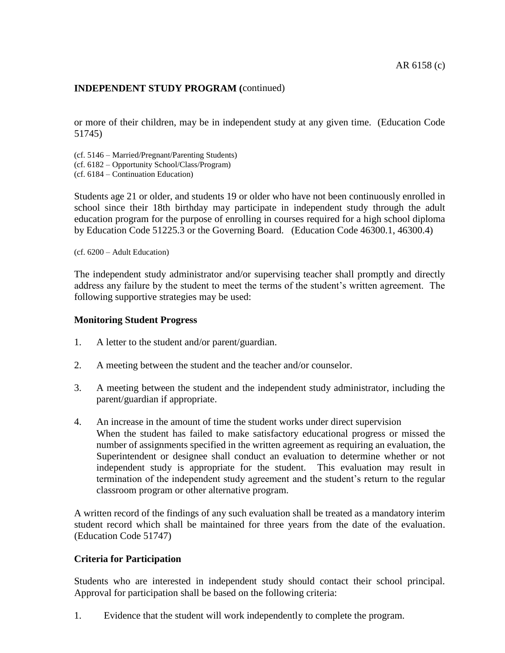or more of their children, may be in independent study at any given time. (Education Code 51745)

- (cf. 5146 Married/Pregnant/Parenting Students)
- (cf. 6182 Opportunity School/Class/Program)
- (cf. 6184 Continuation Education)

Students age 21 or older, and students 19 or older who have not been continuously enrolled in school since their 18th birthday may participate in independent study through the adult education program for the purpose of enrolling in courses required for a high school diploma by Education Code 51225.3 or the Governing Board. (Education Code 46300.1, 46300.4)

(cf. 6200 – Adult Education)

The independent study administrator and/or supervising teacher shall promptly and directly address any failure by the student to meet the terms of the student's written agreement. The following supportive strategies may be used:

#### **Monitoring Student Progress**

- 1. A letter to the student and/or parent/guardian.
- 2. A meeting between the student and the teacher and/or counselor.
- 3. A meeting between the student and the independent study administrator, including the parent/guardian if appropriate.
- 4. An increase in the amount of time the student works under direct supervision When the student has failed to make satisfactory educational progress or missed the number of assignments specified in the written agreement as requiring an evaluation, the Superintendent or designee shall conduct an evaluation to determine whether or not independent study is appropriate for the student. This evaluation may result in termination of the independent study agreement and the student's return to the regular classroom program or other alternative program.

A written record of the findings of any such evaluation shall be treated as a mandatory interim student record which shall be maintained for three years from the date of the evaluation. (Education Code 51747)

## **Criteria for Participation**

Students who are interested in independent study should contact their school principal. Approval for participation shall be based on the following criteria:

1. Evidence that the student will work independently to complete the program.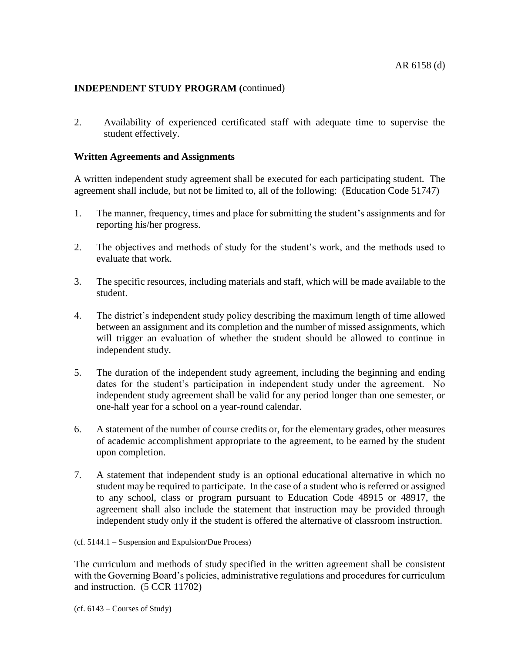2. Availability of experienced certificated staff with adequate time to supervise the student effectively.

#### **Written Agreements and Assignments**

A written independent study agreement shall be executed for each participating student. The agreement shall include, but not be limited to, all of the following: (Education Code 51747)

- 1. The manner, frequency, times and place for submitting the student's assignments and for reporting his/her progress.
- 2. The objectives and methods of study for the student's work, and the methods used to evaluate that work.
- 3. The specific resources, including materials and staff, which will be made available to the student.
- 4. The district's independent study policy describing the maximum length of time allowed between an assignment and its completion and the number of missed assignments, which will trigger an evaluation of whether the student should be allowed to continue in independent study.
- 5. The duration of the independent study agreement, including the beginning and ending dates for the student's participation in independent study under the agreement. No independent study agreement shall be valid for any period longer than one semester, or one-half year for a school on a year-round calendar.
- 6. A statement of the number of course credits or, for the elementary grades, other measures of academic accomplishment appropriate to the agreement, to be earned by the student upon completion.
- 7. A statement that independent study is an optional educational alternative in which no student may be required to participate. In the case of a student who is referred or assigned to any school, class or program pursuant to Education Code 48915 or 48917, the agreement shall also include the statement that instruction may be provided through independent study only if the student is offered the alternative of classroom instruction.

(cf. 5144.1 – Suspension and Expulsion/Due Process)

The curriculum and methods of study specified in the written agreement shall be consistent with the Governing Board's policies, administrative regulations and procedures for curriculum and instruction. (5 CCR 11702)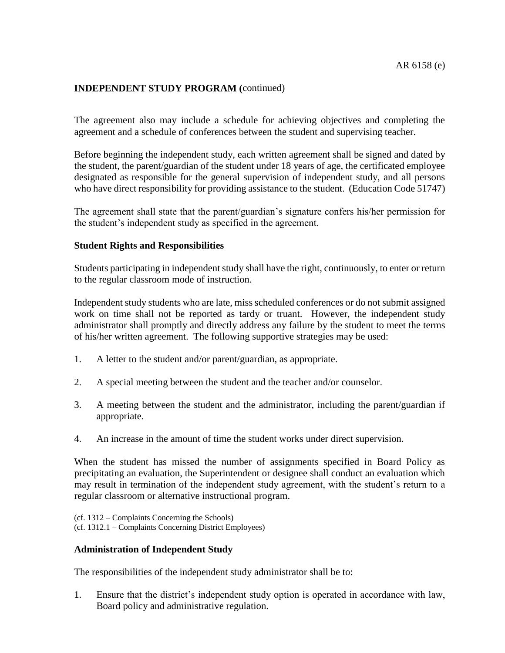The agreement also may include a schedule for achieving objectives and completing the agreement and a schedule of conferences between the student and supervising teacher.

Before beginning the independent study, each written agreement shall be signed and dated by the student, the parent/guardian of the student under 18 years of age, the certificated employee designated as responsible for the general supervision of independent study, and all persons who have direct responsibility for providing assistance to the student. (Education Code 51747)

The agreement shall state that the parent/guardian's signature confers his/her permission for the student's independent study as specified in the agreement.

#### **Student Rights and Responsibilities**

Students participating in independent study shall have the right, continuously, to enter or return to the regular classroom mode of instruction.

Independent study students who are late, miss scheduled conferences or do not submit assigned work on time shall not be reported as tardy or truant. However, the independent study administrator shall promptly and directly address any failure by the student to meet the terms of his/her written agreement. The following supportive strategies may be used:

- 1. A letter to the student and/or parent/guardian, as appropriate.
- 2. A special meeting between the student and the teacher and/or counselor.
- 3. A meeting between the student and the administrator, including the parent/guardian if appropriate.
- 4. An increase in the amount of time the student works under direct supervision.

When the student has missed the number of assignments specified in Board Policy as precipitating an evaluation, the Superintendent or designee shall conduct an evaluation which may result in termination of the independent study agreement, with the student's return to a regular classroom or alternative instructional program.

(cf. 1312 – Complaints Concerning the Schools) (cf. 1312.1 – Complaints Concerning District Employees)

#### **Administration of Independent Study**

The responsibilities of the independent study administrator shall be to:

1. Ensure that the district's independent study option is operated in accordance with law, Board policy and administrative regulation.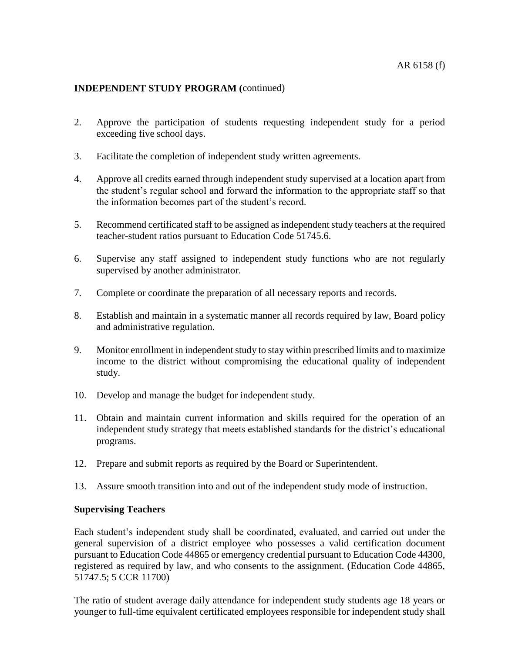- 2. Approve the participation of students requesting independent study for a period exceeding five school days.
- 3. Facilitate the completion of independent study written agreements.
- 4. Approve all credits earned through independent study supervised at a location apart from the student's regular school and forward the information to the appropriate staff so that the information becomes part of the student's record.
- 5. Recommend certificated staff to be assigned as independent study teachers at the required teacher-student ratios pursuant to Education Code 51745.6.
- 6. Supervise any staff assigned to independent study functions who are not regularly supervised by another administrator.
- 7. Complete or coordinate the preparation of all necessary reports and records.
- 8. Establish and maintain in a systematic manner all records required by law, Board policy and administrative regulation.
- 9. Monitor enrollment in independent study to stay within prescribed limits and to maximize income to the district without compromising the educational quality of independent study.
- 10. Develop and manage the budget for independent study.
- 11. Obtain and maintain current information and skills required for the operation of an independent study strategy that meets established standards for the district's educational programs.
- 12. Prepare and submit reports as required by the Board or Superintendent.
- 13. Assure smooth transition into and out of the independent study mode of instruction.

#### **Supervising Teachers**

Each student's independent study shall be coordinated, evaluated, and carried out under the general supervision of a district employee who possesses a valid certification document pursuant to Education Code 44865 or emergency credential pursuant to Education Code 44300, registered as required by law, and who consents to the assignment. (Education Code 44865, 51747.5; 5 CCR 11700)

The ratio of student average daily attendance for independent study students age 18 years or younger to full-time equivalent certificated employees responsible for independent study shall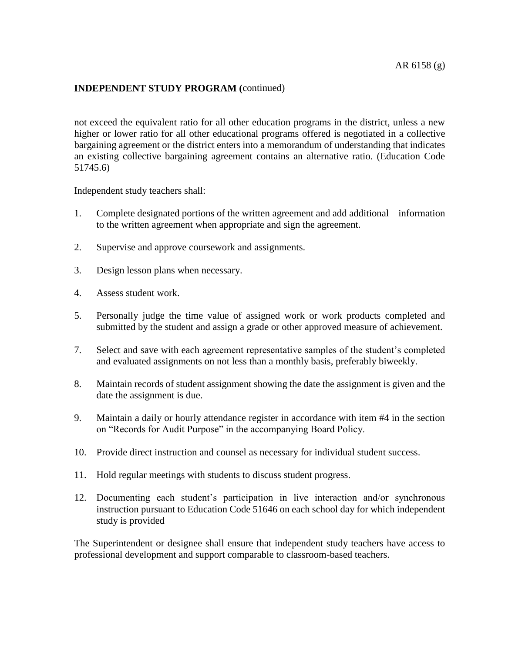not exceed the equivalent ratio for all other education programs in the district, unless a new higher or lower ratio for all other educational programs offered is negotiated in a collective bargaining agreement or the district enters into a memorandum of understanding that indicates an existing collective bargaining agreement contains an alternative ratio. (Education Code 51745.6)

Independent study teachers shall:

- 1. Complete designated portions of the written agreement and add additional information to the written agreement when appropriate and sign the agreement.
- 2. Supervise and approve coursework and assignments.
- 3. Design lesson plans when necessary.
- 4. Assess student work.
- 5. Personally judge the time value of assigned work or work products completed and submitted by the student and assign a grade or other approved measure of achievement.
- 7. Select and save with each agreement representative samples of the student's completed and evaluated assignments on not less than a monthly basis, preferably biweekly.
- 8. Maintain records of student assignment showing the date the assignment is given and the date the assignment is due.
- 9. Maintain a daily or hourly attendance register in accordance with item #4 in the section on "Records for Audit Purpose" in the accompanying Board Policy.
- 10. Provide direct instruction and counsel as necessary for individual student success.
- 11. Hold regular meetings with students to discuss student progress.
- 12. Documenting each student's participation in live interaction and/or synchronous instruction pursuant to Education Code 51646 on each school day for which independent study is provided

The Superintendent or designee shall ensure that independent study teachers have access to professional development and support comparable to classroom-based teachers.